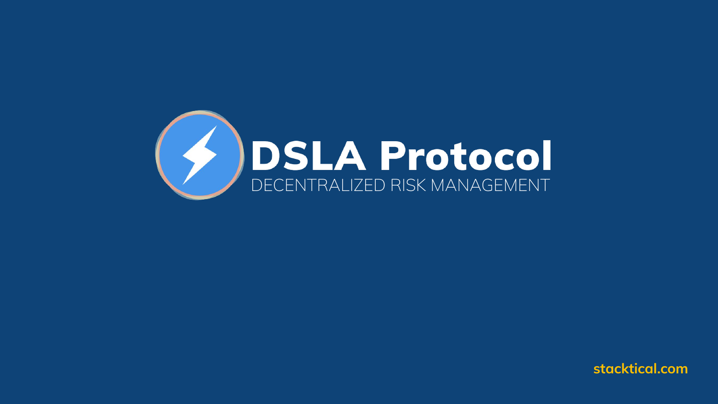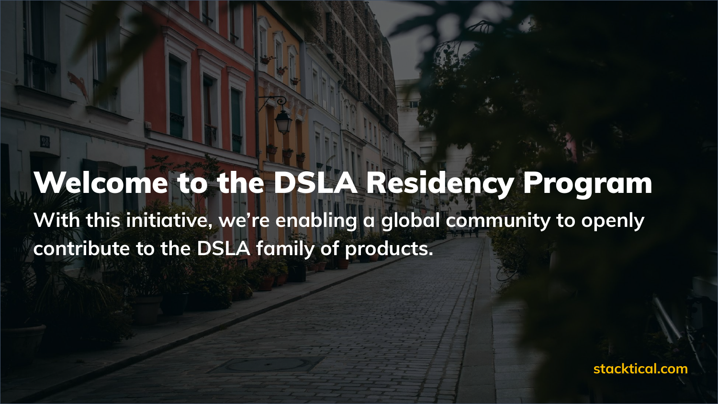## Welcome to the DSLA Residency Program

**With this initiative, we're enabling a global community to openly contribute to the DSLA family of products.**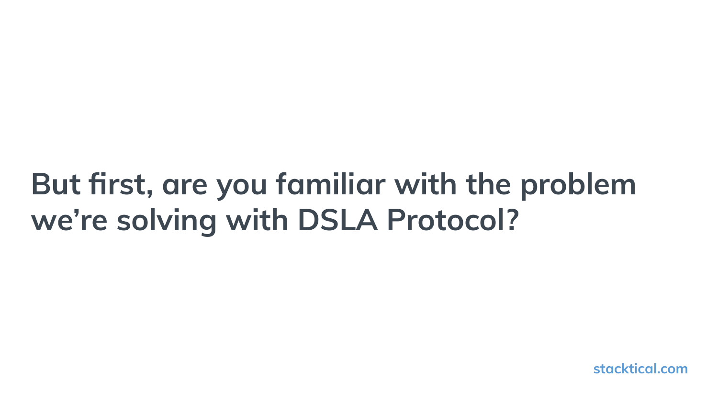## **But first, are you familiar with the problem we're solving with DSLA Protocol?**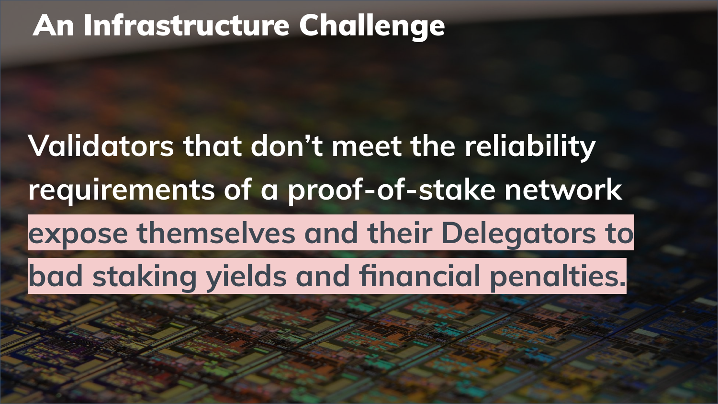### An Infrastructure Challenge

# **Validators that don't meet the reliability requirements of a proof-of-stake network expose themselves and their Delegators to bad staking yields and financial penalties.**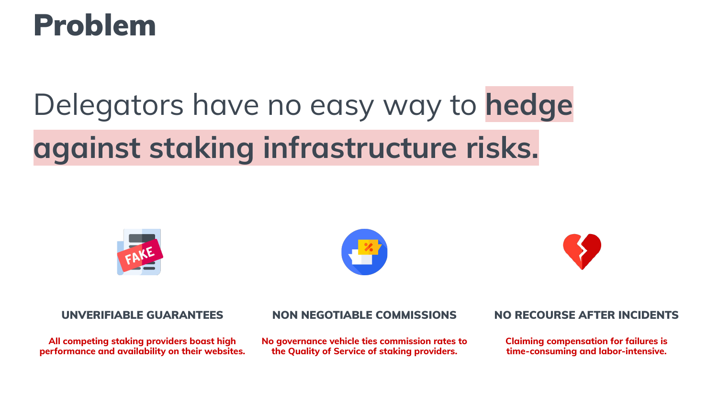### Problem

# Delegators have no easy way to **hedge against staking infrastructure risks.**







**All competing staking providers boast high performance and availability on their websites.**

### UNVERIFIABLE GUARANTEES NON NEGOTIABLE COMMISSIONS NO RECOURSE AFTER INCIDENTS

**No governance vehicle ties commission rates to the Quality of Service of staking providers.**

**Claiming compensation for failures is time-consuming and labor-intensive.**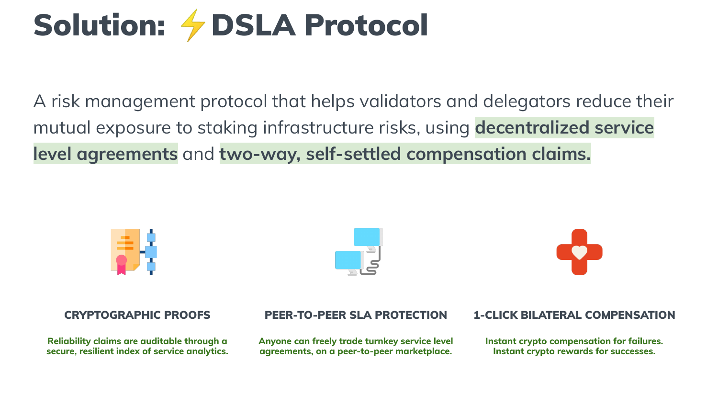# Solution: *I* DSLA Protocol

A risk management protocol that helps validators and delegators reduce their mutual exposure to staking infrastructure risks, using **decentralized service level agreements** and **two-way, self-settled compensation claims.**







**Reliability claims are auditable through a secure, resilient index of service analytics.**

**Anyone can freely trade turnkey service level agreements, on a peer-to-peer marketplace.**

### CRYPTOGRAPHIC PROOFS PEER-TO-PEER SLA PROTECTION 1-CLICK BILATERAL COMPENSATION

**Instant crypto compensation for failures. Instant crypto rewards for successes.**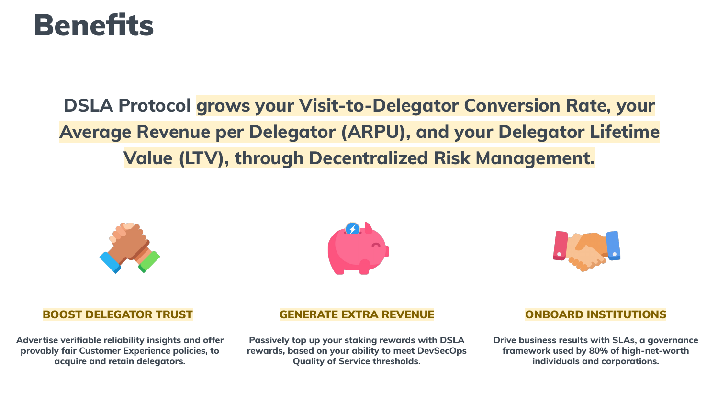### **Benefits**

### **DSLA Protocol grows your Visit-to-Delegator Conversion Rate, your Average Revenue per Delegator (ARPU), and your Delegator Lifetime Value (LTV), through Decentralized Risk Management.**







**Advertise verifiable reliability insights and offer provably fair Customer Experience policies, to acquire and retain delegators.**

### BOOST DELEGATOR TRUST GENERATE EXTRA REVENUE ONBOARD INSTITUTIONS

**Passively top up your staking rewards with DSLA rewards, based on your ability to meet DevSecOps Quality of Service thresholds.**

**Drive business results with SLAs, a governance framework used by 80% of high-net-worth individuals and corporations.**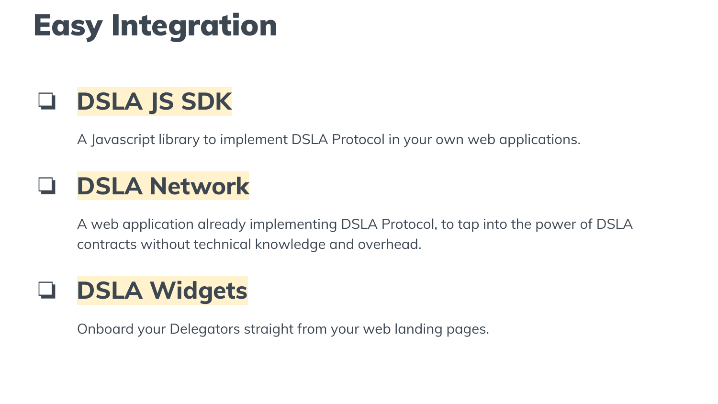## Easy Integration

### ❏ **DSLA JS SDK**

A Javascript library to implement DSLA Protocol in your own web applications.

### ❏ **DSLA Network**

A web application already implementing DSLA Protocol, to tap into the power of DSLA contracts without technical knowledge and overhead.

### ❏ **DSLA Widgets**

Onboard your Delegators straight from your web landing pages.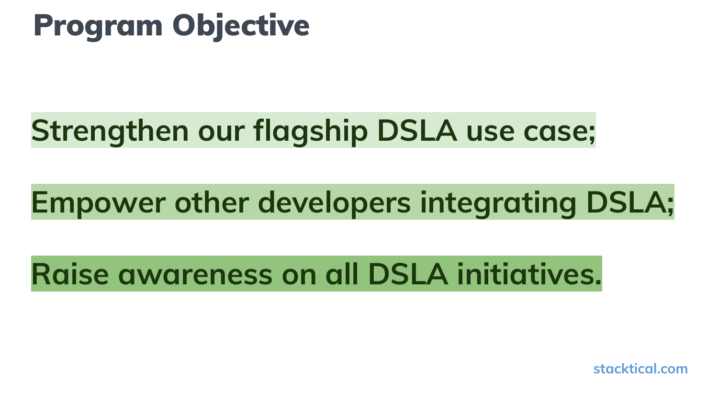## Program Objective

### **Strengthen our flagship DSLA use case;**

## **Empower other developers integrating DSLA;**

### **Raise awareness on all DSLA initiatives.**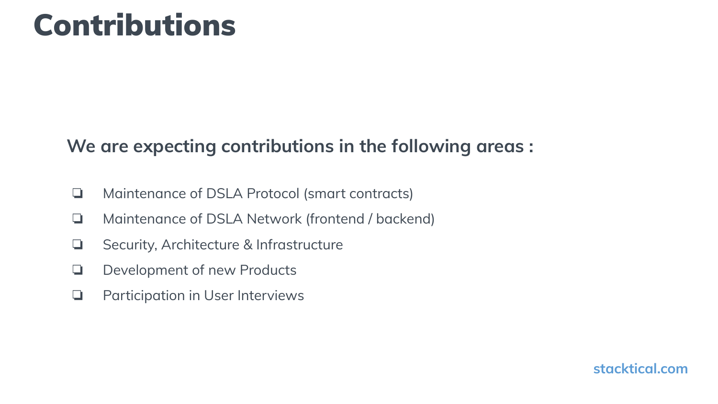### Contributions

### **We are expecting contributions in the following areas :**

- ❏ Maintenance of DSLA Protocol (smart contracts)
- ❏ Maintenance of DSLA Network (frontend / backend)
- ❏ Security, Architecture & Infrastructure
- ❏ Development of new Products
- ❏ Participation in User Interviews